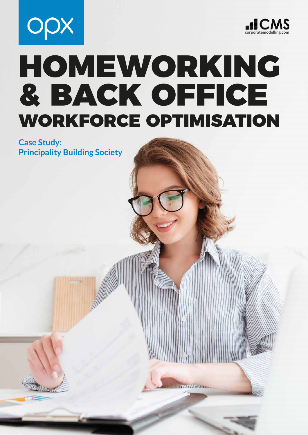



# HOMEWORKING & BACK OFFICE WORKFORCE OPTIMISATION

Page 1 Corporate Modelling Services Ltd. The Services Ltd. Services Ltd. Services Ltd. Services Ltd. Services L

**Case Study: Principality Building Society**

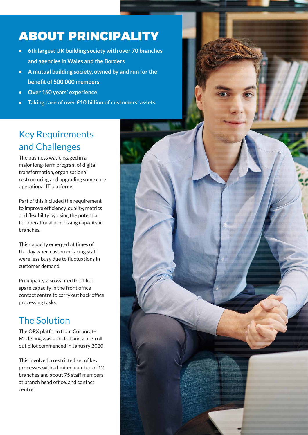## ABOUT PRINCIPALITY

- **• 6th largest UK building society with over 70 branches and agencies in Wales and the Borders**
- **• A mutual building society, owned by and run for the benefit of 500,000 members**
- **• Over 160 years' experience**
- **• Taking care of over £10 billion of customers' assets**

### Key Requirements and Challenges

The business was engaged in a major long-term program of digital transformation, organisational restructuring and upgrading some core operational IT platforms.

Part of this included the requirement to improve efficiency, quality, metrics and flexibility by using the potential for operational processing capacity in branches.

This capacity emerged at times of the day when customer facing staff were less busy due to fluctuations in customer demand.

Principality also wanted to utilise spare capacity in the front office contact centre to carry out back office processing tasks.

#### The Solution

The OPX platform from Corporate Modelling was selected and a pre-roll out pilot commenced in January 2020.

This involved a restricted set of key processes with a limited number of 12 branches and about 75 staff members at branch head office, and contact centre.

Page 2 Corporate Modelling Services Ltd. Services Ltd. Services Ltd. Services Ltd. Services Ltd. Services Ltd.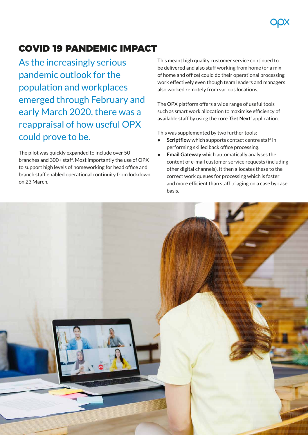#### COVID 19 PANDEMIC IMPACT

As the increasingly serious pandemic outlook for the population and workplaces emerged through February and early March 2020, there was a reappraisal of how useful OPX could prove to be.

The pilot was quickly expanded to include over 50 branches and 300+ staff. Most importantly the use of OPX to support high levels of homeworking for head office and branch staff enabled operational continuity from lockdown on 23 March.

This meant high quality customer service continued to be delivered and also staff working from home (or a mix of home and office) could do their operational processing work effectively even though team leaders and managers also worked remotely from various locations.

The OPX platform offers a wide range of useful tools such as smart work allocation to maximise efficiency of available staff by using the core '**Get Next**' application.

This was supplemented by two further tools:

- **• Scriptflow** which supports contact centre staff in performing skilled back office processing.
- **• Email Gateway** which automatically analyses the content of e-mail customer service requests (including other digital channels). It then allocates these to the correct work queues for processing which is faster and more efficient than staff triaging on a case by case basis.